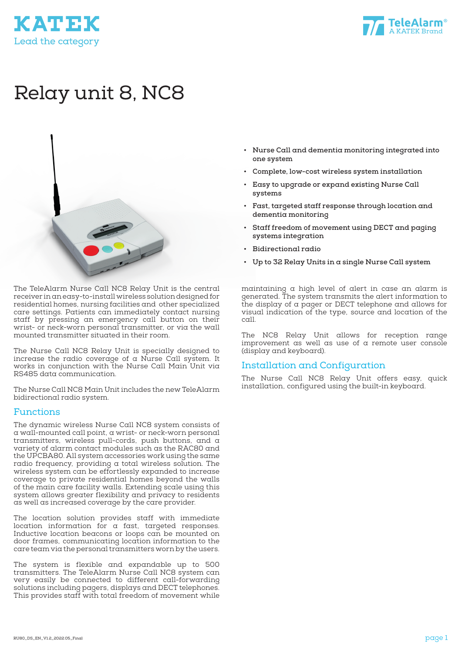



# Relay unit 8, NC8



The TeleAlarm Nurse Call NC8 Relay Unit is the central receiver in an easy-to-install wireless solution designed for residential homes, nursing facilities and other specialized care settings. Patients can immediately contact nursing staff by pressing an emergency call button on their wrist- or neck-worn personal transmitter, or via the wall mounted transmitter situated in their room.

The Nurse Call NC8 Relay Unit is specially designed to increase the radio coverage of a Nurse Call system. It works in conjunction with the Nurse Call Main Unit via RS485 data communication.

The Nurse Call NC8 Main Unit includes the new TeleAlarm bidirectional radio system.

#### Functions

The dynamic wireless Nurse Call NC8 system consists of a wall-mounted call point, a wrist- or neck-worn personal transmitters, wireless pull-cords, push buttons, and a variety of alarm contact modules such as the RAC80 and the UPCBA80. All system accessories work using the same radio frequency, providing a total wireless solution. The wireless system can be effortlessly expanded to increase coverage to private residential homes beyond the walls of the main care facility walls. Extending scale using this system allows greater flexibility and privacy to residents as well as increased coverage by the care provider.

The location solution provides staff with immediate location information for a fast, targeted responses. Inductive location beacons or loops can be mounted on door frames, communicating location information to the care team via the personal transmitters worn by the users.

The system is flexible and expandable up to 500 transmitters. The TeleAlarm Nurse Call NC8 system can very easily be connected to different call-forwarding solutions including pagers, displays and DECT telephones. This provides staff with total freedom of movement while

- **• Nurse Call and dementia monitoring integrated into one system**
- **• Complete, low-cost wireless system installation**
- **• Easy to upgrade or expand existing Nurse Call systems**
- **• Fast, targeted staff response through location and dementia monitoring**
- **• Staff freedom of movement using DECT and paging systems integration**
- **• Bidirectional radio**
- **• Up to 32 Relay Units in a single Nurse Call system**

maintaining a high level of alert in case an alarm is generated. The system transmits the alert information to the display of a pager or DECT telephone and allows for visual indication of the type, source and location of the call.

The NC8 Relay Unit allows for reception range improvement as well as use of a remote user console (display and keyboard).

#### Installation and Configuration

The Nurse Call NC8 Relay Unit offers easy, quick installation, configured using the built-in keyboard.